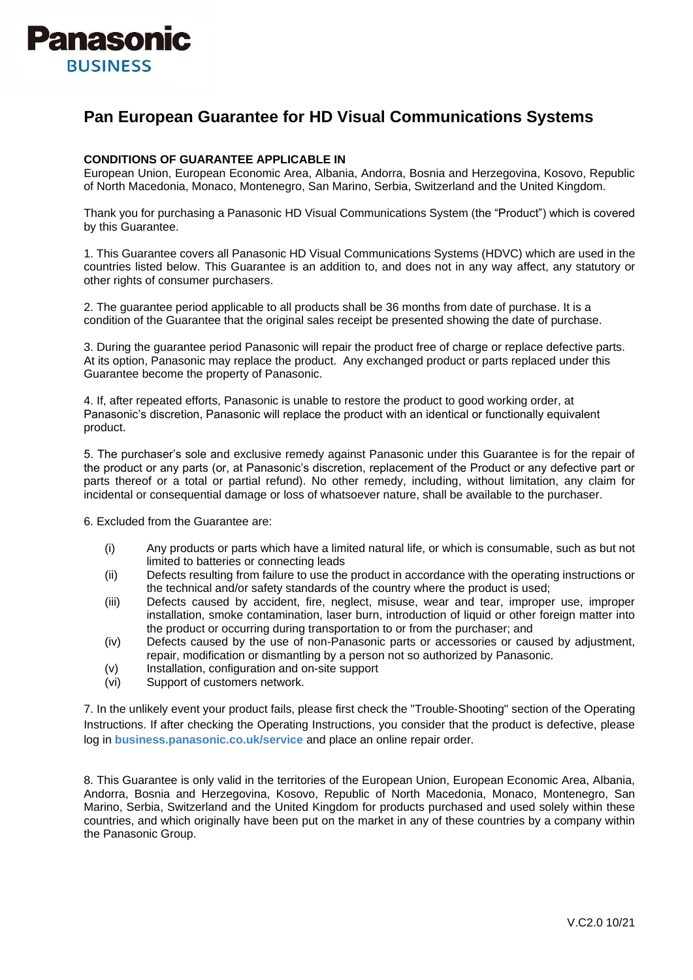

## **Pan European Guarantee for HD Visual Communications Systems**

## **CONDITIONS OF GUARANTEE APPLICABLE IN**

European Union, European Economic Area, Albania, Andorra, Bosnia and Herzegovina, Kosovo, Republic of North Macedonia, Monaco, Montenegro, San Marino, Serbia, Switzerland and the United Kingdom.

Thank you for purchasing a Panasonic HD Visual Communications System (the "Product") which is covered by this Guarantee.

1. This Guarantee covers all Panasonic HD Visual Communications Systems (HDVC) which are used in the countries listed below. This Guarantee is an addition to, and does not in any way affect, any statutory or other rights of consumer purchasers.

2. The guarantee period applicable to all products shall be 36 months from date of purchase. It is a condition of the Guarantee that the original sales receipt be presented showing the date of purchase.

3. During the guarantee period Panasonic will repair the product free of charge or replace defective parts. At its option, Panasonic may replace the product. Any exchanged product or parts replaced under this Guarantee become the property of Panasonic.

4. If, after repeated efforts, Panasonic is unable to restore the product to good working order, at Panasonic's discretion, Panasonic will replace the product with an identical or functionally equivalent product.

5. The purchaser's sole and exclusive remedy against Panasonic under this Guarantee is for the repair of the product or any parts (or, at Panasonic's discretion, replacement of the Product or any defective part or parts thereof or a total or partial refund). No other remedy, including, without limitation, any claim for incidental or consequential damage or loss of whatsoever nature, shall be available to the purchaser.

6. Excluded from the Guarantee are:

- (i) Any products or parts which have a limited natural life, or which is consumable, such as but not limited to batteries or connecting leads
- (ii) Defects resulting from failure to use the product in accordance with the operating instructions or the technical and/or safety standards of the country where the product is used;
- (iii) Defects caused by accident, fire, neglect, misuse, wear and tear, improper use, improper installation, smoke contamination, laser burn, introduction of liquid or other foreign matter into the product or occurring during transportation to or from the purchaser; and
- (iv) Defects caused by the use of non‐Panasonic parts or accessories or caused by adjustment, repair, modification or dismantling by a person not so authorized by Panasonic.
- (v) Installation, configuration and on-site support
- (vi) Support of customers network.

7. In the unlikely event your product fails, please first check the "Trouble‐Shooting" section of the Operating Instructions. If after checking the Operating Instructions, you consider that the product is defective, please log in **business.panasonic.co.uk/service** and place an online repair order.

8. This Guarantee is only valid in the territories of the European Union, European Economic Area, Albania, Andorra, Bosnia and Herzegovina, Kosovo, Republic of North Macedonia, Monaco, Montenegro, San Marino, Serbia, Switzerland and the United Kingdom for products purchased and used solely within these countries, and which originally have been put on the market in any of these countries by a company within the Panasonic Group.